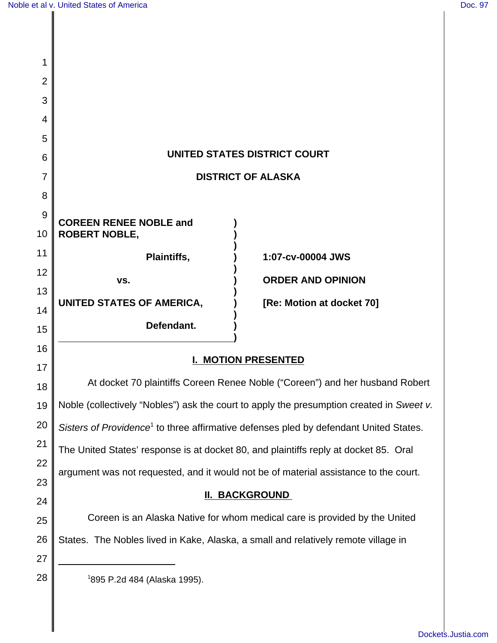| 1        |                                                                                                   |                           |
|----------|---------------------------------------------------------------------------------------------------|---------------------------|
| 2        |                                                                                                   |                           |
| 3        |                                                                                                   |                           |
| 4        |                                                                                                   |                           |
| 5        |                                                                                                   |                           |
| 6        | UNITED STATES DISTRICT COURT                                                                      |                           |
| 7        | <b>DISTRICT OF ALASKA</b>                                                                         |                           |
| 8        |                                                                                                   |                           |
| 9<br>10  | <b>COREEN RENEE NOBLE and</b><br><b>ROBERT NOBLE,</b>                                             |                           |
| 11       | Plaintiffs,                                                                                       | 1:07-cv-00004 JWS         |
| 12       | VS.                                                                                               | <b>ORDER AND OPINION</b>  |
| 13       | UNITED STATES OF AMERICA,                                                                         | [Re: Motion at docket 70] |
| 14       |                                                                                                   |                           |
| 15       | Defendant.                                                                                        |                           |
| 16       | <b>I. MOTION PRESENTED</b>                                                                        |                           |
| 17       |                                                                                                   |                           |
| 18       | At docket 70 plaintiffs Coreen Renee Noble ("Coreen") and her husband Robert                      |                           |
| 19       | Noble (collectively "Nobles") ask the court to apply the presumption created in Sweet v.          |                           |
| 20       | Sisters of Providence <sup>1</sup> to three affirmative defenses pled by defendant United States. |                           |
| 21       | The United States' response is at docket 80, and plaintiffs reply at docket 85. Oral              |                           |
| 22       | argument was not requested, and it would not be of material assistance to the court.              |                           |
| 23       | <b>II. BACKGROUND</b>                                                                             |                           |
| 24       | Coreen is an Alaska Native for whom medical care is provided by the United                        |                           |
| 25       |                                                                                                   |                           |
| 26       | States. The Nobles lived in Kake, Alaska, a small and relatively remote village in                |                           |
| 27<br>28 | <sup>1</sup> 895 P.2d 484 (Alaska 1995).                                                          |                           |
|          |                                                                                                   |                           |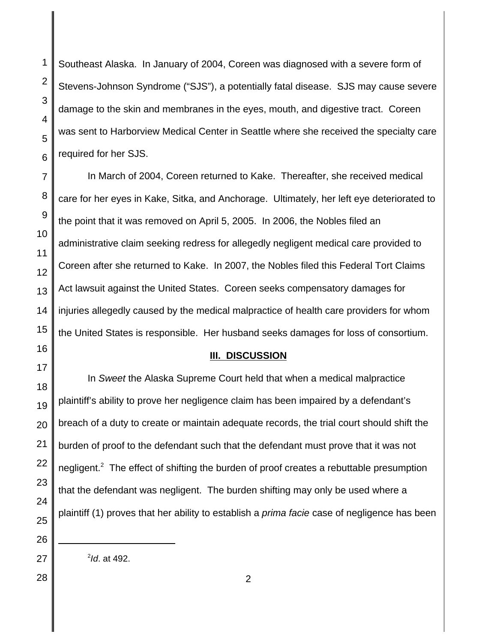Southeast Alaska. In January of 2004, Coreen was diagnosed with a severe form of Stevens-Johnson Syndrome ("SJS"), a potentially fatal disease. SJS may cause severe damage to the skin and membranes in the eyes, mouth, and digestive tract. Coreen was sent to Harborview Medical Center in Seattle where she received the specialty care required for her SJS.

In March of 2004, Coreen returned to Kake. Thereafter, she received medical care for her eyes in Kake, Sitka, and Anchorage. Ultimately, her left eye deteriorated to the point that it was removed on April 5, 2005. In 2006, the Nobles filed an administrative claim seeking redress for allegedly negligent medical care provided to Coreen after she returned to Kake. In 2007, the Nobles filed this Federal Tort Claims Act lawsuit against the United States. Coreen seeks compensatory damages for injuries allegedly caused by the medical malpractice of health care providers for whom the United States is responsible. Her husband seeks damages for loss of consortium.

## **III. DISCUSSION**

In Sweet the Alaska Supreme Court held that when a medical malpractice plaintiff's ability to prove her negligence claim has been impaired by a defendant's breach of a duty to create or maintain adequate records, the trial court should shift the burden of proof to the defendant such that the defendant must prove that it was not negligent.<sup>2</sup> The effect of shifting the burden of proof creates a rebuttable presumption that the defendant was negligent. The burden shifting may only be used where a plaintiff (1) proves that her ability to establish a *prima facie* case of negligence has been

<sup>2</sup>ld. at 492.

1

2

3

4

5

6

7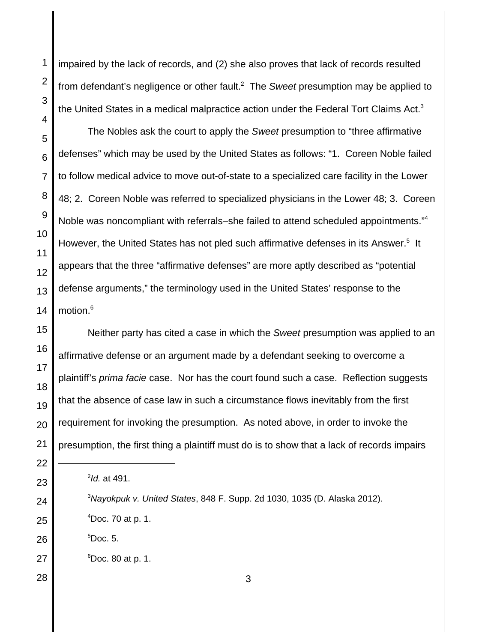impaired by the lack of records, and (2) she also proves that lack of records resulted from defendant's negligence or other fault.<sup>2</sup> The Sweet presumption may be applied to the United States in a medical malpractice action under the Federal Tort Claims Act. $3$ 

The Nobles ask the court to apply the Sweet presumption to "three affirmative defenses" which may be used by the United States as follows: "1. Coreen Noble failed to follow medical advice to move out-of-state to a specialized care facility in the Lower 48; 2. Coreen Noble was referred to specialized physicians in the Lower 48; 3. Coreen Noble was noncompliant with referrals–she failed to attend scheduled appointments."<sup>4</sup> However, the United States has not pled such affirmative defenses in its Answer.<sup>5</sup> It appears that the three "affirmative defenses" are more aptly described as "potential defense arguments," the terminology used in the United States' response to the motion.<sup>6</sup>

Neither party has cited a case in which the Sweet presumption was applied to an affirmative defense or an argument made by a defendant seeking to overcome a plaintiff's *prima facie* case. Nor has the court found such a case. Reflection suggests that the absence of case law in such a circumstance flows inevitably from the first requirement for invoking the presumption. As noted above, in order to invoke the presumption, the first thing a plaintiff must do is to show that a lack of records impairs

- $^{4}$ Doc. 70 at p. 1.
- 26  $5Doc. 5.$
- 27  $6$ Doc. 80 at p. 1.
- 28

1

2

3

4

5

6

7

8

9

10

11

12

13

14

15

16

17

18

19

20

21

22

23

24

25

3

<sup>&</sup>lt;sup>2</sup>ld. at 491.

 $3$ Nayokpuk v. United States, 848 F. Supp. 2d 1030, 1035 (D. Alaska 2012).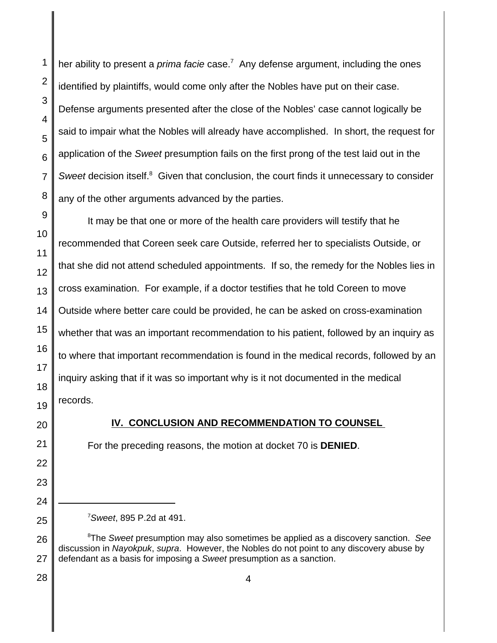her ability to present a *prima facie* case.<sup>7</sup> Any defense argument, including the ones identified by plaintiffs, would come only after the Nobles have put on their case. Defense arguments presented after the close of the Nobles' case cannot logically be said to impair what the Nobles will already have accomplished. In short, the request for application of the Sweet presumption fails on the first prong of the test laid out in the Sweet decision itself.<sup>8</sup> Given that conclusion, the court finds it unnecessary to consider any of the other arguments advanced by the parties.

9 10 11 12 13 14 15 16 17 18 19 It may be that one or more of the health care providers will testify that he recommended that Coreen seek care Outside, referred her to specialists Outside, or that she did not attend scheduled appointments. If so, the remedy for the Nobles lies in cross examination. For example, if a doctor testifies that he told Coreen to move Outside where better care could be provided, he can be asked on cross-examination whether that was an important recommendation to his patient, followed by an inquiry as to where that important recommendation is found in the medical records, followed by an inquiry asking that if it was so important why is it not documented in the medical records.

20

21

22

23

24

25

1

2

3

4

5

6

7

8

## **IV. CONCLUSION AND RECOMMENDATION TO COUNSEL**

For the preceding reasons, the motion at docket 70 is **DENIED**.

 $\textsuperscript{8}$ The Sweet presumption may also sometimes be applied as a discovery sanction. See discussion in Nayokpuk, supra. However, the Nobles do not point to any discovery abuse by defendant as a basis for imposing a Sweet presumption as a sanction.

26 27 28

 $7$ Sweet, 895 P.2d at 491.